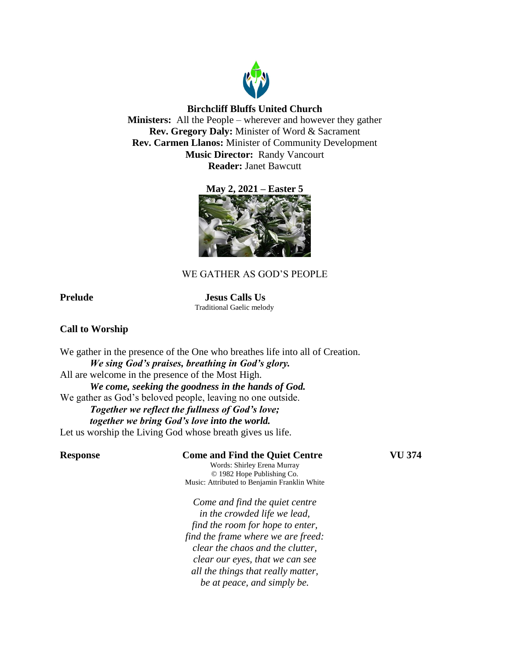

# **Birchcliff Bluffs United Church**

**Ministers:** All the People – wherever and however they gather **Rev. Gregory Daly:** Minister of Word & Sacrament **Rev. Carmen Llanos:** Minister of Community Development **Music Director:** Randy Vancourt **Reader:** Janet Bawcutt





# WE GATHER AS GOD'S PEOPLE

**Prelude Jesus Calls Us** Traditional Gaelic melody

# **Call to Worship**

We gather in the presence of the One who breathes life into all of Creation. *We sing God's praises, breathing in God's glory.* All are welcome in the presence of the Most High. *We come, seeking the goodness in the hands of God.*  We gather as God's beloved people, leaving no one outside. *Together we reflect the fullness of God's love; together we bring God's love into the world.*  Let us worship the Living God whose breath gives us life.

# **Response Come and Find the Quiet Centre VU 374**

Words: Shirley Erena Murray © 1982 Hope Publishing Co. Music: Attributed to Benjamin Franklin White

*Come and find the quiet centre in the crowded life we lead, find the room for hope to enter, find the frame where we are freed: clear the chaos and the clutter, clear our eyes, that we can see all the things that really matter, be at peace, and simply be.*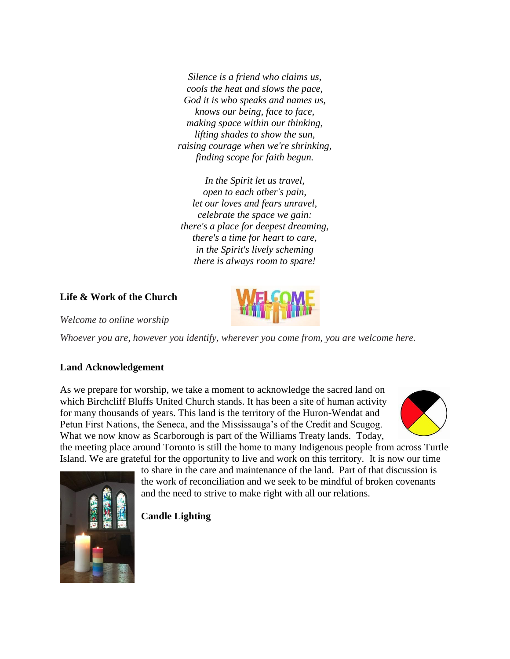*Silence is a friend who claims us, cools the heat and slows the pace, God it is who speaks and names us, knows our being, face to face, making space within our thinking, lifting shades to show the sun, raising courage when we're shrinking, finding scope for faith begun.*

*In the Spirit let us travel, open to each other's pain, let our loves and fears unravel, celebrate the space we gain: there's a place for deepest dreaming, there's a time for heart to care, in the Spirit's lively scheming there is always room to spare!*

# **Life & Work of the Church**



*Welcome to online worship*

*Whoever you are, however you identify, wherever you come from, you are welcome here.*

# **Land Acknowledgement**

As we prepare for worship, we take a moment to acknowledge the sacred land on which Birchcliff Bluffs United Church stands. It has been a site of human activity for many thousands of years. This land is the territory of the Huron-Wendat and Petun First Nations, the Seneca, and the Mississauga's of the Credit and Scugog. What we now know as Scarborough is part of the Williams Treaty lands. Today, the meeting place around Toronto is still the home to many Indigenous people from across Turtle





Island. We are grateful for the opportunity to live and work on this territory. It is now our time to share in the care and maintenance of the land. Part of that discussion is the work of reconciliation and we seek to be mindful of broken covenants and the need to strive to make right with all our relations.

# **Candle Lighting**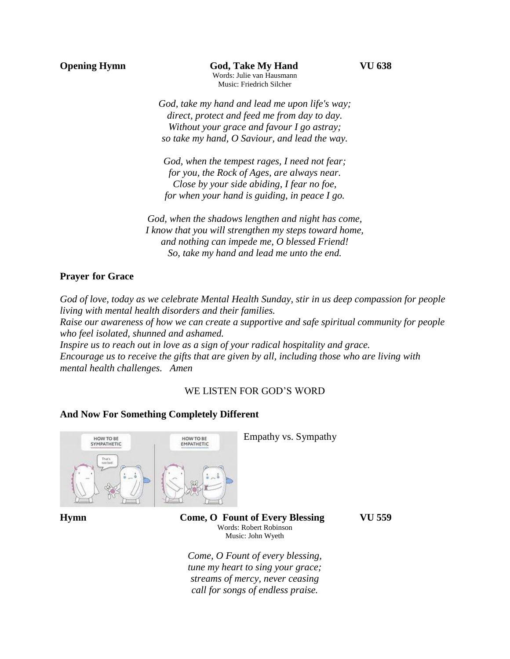**Opening Hymn God, Take My Hand VU 638** Words: Julie van Hausmann Music: Friedrich Silcher

> *God, take my hand and lead me upon life's way; direct, protect and feed me from day to day. Without your grace and favour I go astray; so take my hand, O Saviour, and lead the way.*

*God, when the tempest rages, I need not fear; for you, the Rock of Ages, are always near. Close by your side abiding, I fear no foe, for when your hand is guiding, in peace I go.*

*God, when the shadows lengthen and night has come, I know that you will strengthen my steps toward home, and nothing can impede me, O blessed Friend! So, take my hand and lead me unto the end.*

# **Prayer for Grace**

*God of love, today as we celebrate Mental Health Sunday, stir in us deep compassion for people living with mental health disorders and their families.* 

*Raise our awareness of how we can create a supportive and safe spiritual community for people who feel isolated, shunned and ashamed.* 

*Inspire us to reach out in love as a sign of your radical hospitality and grace. Encourage us to receive the gifts that are given by all, including those who are living with mental health challenges. Amen*

# WE LISTEN FOR GOD'S WORD

# **And Now For Something Completely Different**



**Hymn Come, O Fount of Every Blessing VU 559** Words: Robert Robinson Music: John Wyeth

*Come, O Fount of every blessing, tune my heart to sing your grace; streams of mercy, never ceasing call for songs of endless praise.*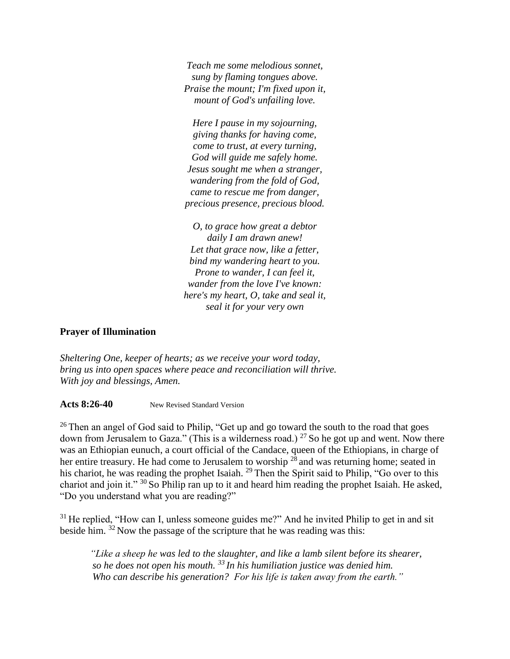*Teach me some melodious sonnet, sung by flaming tongues above. Praise the mount; I'm fixed upon it, mount of God's unfailing love.*

*Here I pause in my sojourning, giving thanks for having come, come to trust, at every turning, God will guide me safely home. Jesus sought me when a stranger, wandering from the fold of God, came to rescue me from danger, precious presence, precious blood.*

*O, to grace how great a debtor daily I am drawn anew! Let that grace now, like a fetter, bind my wandering heart to you. Prone to wander, I can feel it, wander from the love I've known: here's my heart, O, take and seal it, seal it for your very own* 

# **Prayer of Illumination**

*Sheltering One, keeper of hearts; as we receive your word today, bring us into open spaces where peace and reconciliation will thrive. With joy and blessings, Amen.* 

Acts 8:26-40 New Revised Standard Version

 $26$  Then an angel of God said to Philip, "Get up and go toward the south to the road that goes down from Jerusalem to Gaza." (This is a wilderness road.)  $27$  So he got up and went. Now there was an Ethiopian eunuch, a court official of the Candace, queen of the Ethiopians, in charge of her entire treasury. He had come to Jerusalem to worship  $2^8$  and was returning home; seated in his chariot, he was reading the prophet Isaiah. <sup>29</sup> Then the Spirit said to Philip, "Go over to this chariot and join it." <sup>30</sup> So Philip ran up to it and heard him reading the prophet Isaiah. He asked, "Do you understand what you are reading?"

 $31$  He replied, "How can I, unless someone guides me?" And he invited Philip to get in and sit beside him. <sup>32</sup> Now the passage of the scripture that he was reading was this:

*"Like a sheep he was led to the slaughter, and like a lamb silent before its shearer, so he does not open his mouth. <sup>33</sup> In his humiliation justice was denied him. Who can describe his generation? For his life is taken away from the earth."*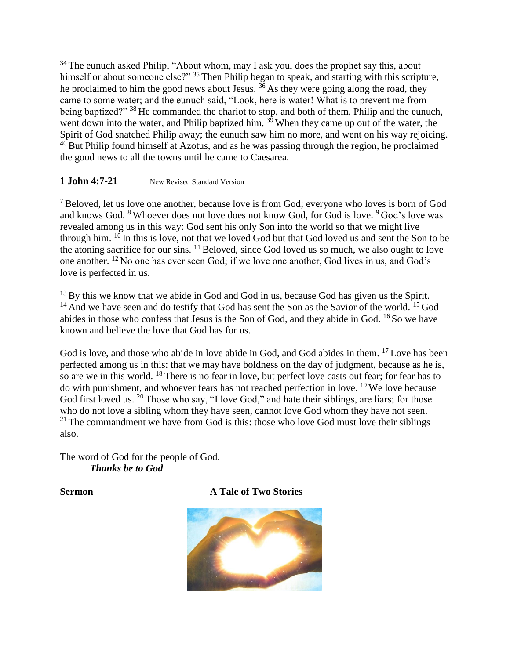<sup>34</sup> The eunuch asked Philip, "About whom, may I ask you, does the prophet say this, about himself or about someone else?" <sup>35</sup> Then Philip began to speak, and starting with this scripture, he proclaimed to him the good news about Jesus.  $36$  As they were going along the road, they came to some water; and the eunuch said, "Look, here is water! What is to prevent me from being baptized?" <sup>38</sup> He commanded the chariot to stop, and both of them, Philip and the eunuch, went down into the water, and Philip baptized him.  $3<sup>9</sup>$  When they came up out of the water, the Spirit of God snatched Philip away; the eunuch saw him no more, and went on his way rejoicing.  $40$  But Philip found himself at Azotus, and as he was passing through the region, he proclaimed the good news to all the towns until he came to Caesarea.

# 1 **John 4:7-21** New Revised Standard Version

<sup>7</sup> Beloved, let us love one another, because love is from God; everyone who loves is born of God and knows God. <sup>8</sup> Whoever does not love does not know God, for God is love. <sup>9</sup> God's love was revealed among us in this way: God sent his only Son into the world so that we might live through him.  $10$  In this is love, not that we loved God but that God loved us and sent the Son to be the atoning sacrifice for our sins. <sup>11</sup> Beloved, since God loved us so much, we also ought to love one another. <sup>12</sup> No one has ever seen God; if we love one another, God lives in us, and God's love is perfected in us.

 $13$  By this we know that we abide in God and God in us, because God has given us the Spirit.  $14$  And we have seen and do testify that God has sent the Son as the Savior of the world.  $15$  God abides in those who confess that Jesus is the Son of God, and they abide in God. <sup>16</sup> So we have known and believe the love that God has for us.

God is love, and those who abide in love abide in God, and God abides in them. <sup>17</sup> Love has been perfected among us in this: that we may have boldness on the day of judgment, because as he is, so are we in this world. <sup>18</sup> There is no fear in love, but perfect love casts out fear; for fear has to do with punishment, and whoever fears has not reached perfection in love. <sup>19</sup> We love because God first loved us. <sup>20</sup> Those who say, "I love God," and hate their siblings, are liars; for those who do not love a sibling whom they have seen, cannot love God whom they have not seen.  $21$  The commandment we have from God is this: those who love God must love their siblings also.

The word of God for the people of God. *Thanks be to God*

# **Sermon A Tale of Two Stories**

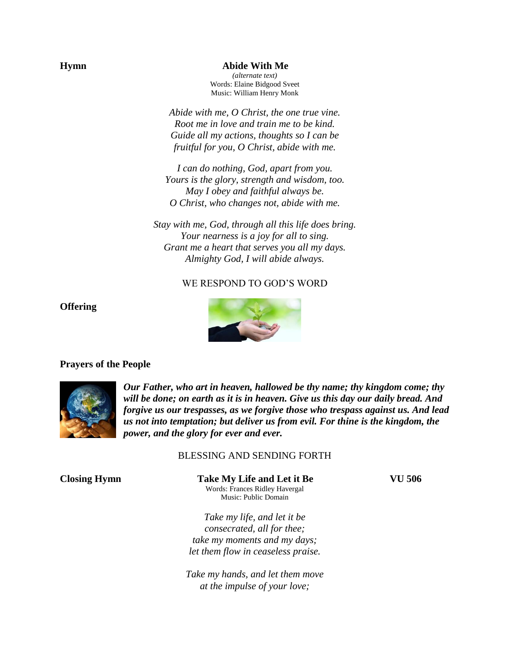#### **Hymn Abide With Me**

*(alternate text)* Words: Elaine Bidgood Sveet Music: William Henry Monk

*Abide with me, O Christ, the one true vine. Root me in love and train me to be kind. Guide all my actions, thoughts so I can be fruitful for you, O Christ, abide with me.*

*I can do nothing, God, apart from you. Yours is the glory, strength and wisdom, too. May I obey and faithful always be. O Christ, who changes not, abide with me.*

*Stay with me, God, through all this life does bring. Your nearness is a joy for all to sing. Grant me a heart that serves you all my days. Almighty God, I will abide always.*

### WE RESPOND TO GOD'S WORD



# **Offering**

#### **Prayers of the People**



*Our Father, who art in heaven, hallowed be thy name; thy kingdom come; thy will be done; on earth as it is in heaven. Give us this day our daily bread. And forgive us our trespasses, as we forgive those who trespass against us. And lead us not into temptation; but deliver us from evil. For thine is the kingdom, the power, and the glory for ever and ever.* 

### BLESSING AND SENDING FORTH

**Closing Hymn Take My Life and Let it Be VU 506** Words: Frances Ridley Havergal Music: Public Domain

*Take my life, and let it be consecrated, all for thee; take my moments and my days; let them flow in ceaseless praise.*

*Take my hands, and let them move at the impulse of your love;*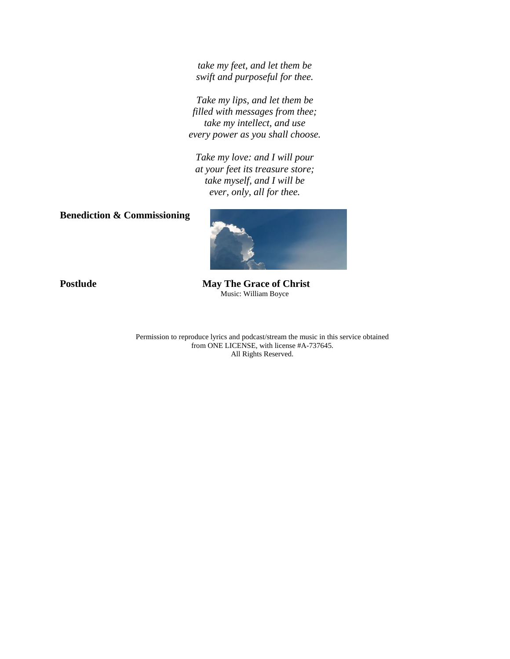*take my feet, and let them be swift and purposeful for thee.*

*Take my lips, and let them be filled with messages from thee; take my intellect, and use every power as you shall choose.*

*Take my love: and I will pour at your feet its treasure store; take myself, and I will be ever, only, all for thee.*

# **Benediction & Commissioning**



**Postlude May The Grace of Christ** Music: William Boyce

> Permission to reproduce lyrics and podcast/stream the music in this service obtained from ONE LICENSE, with license #A-737645. All Rights Reserved.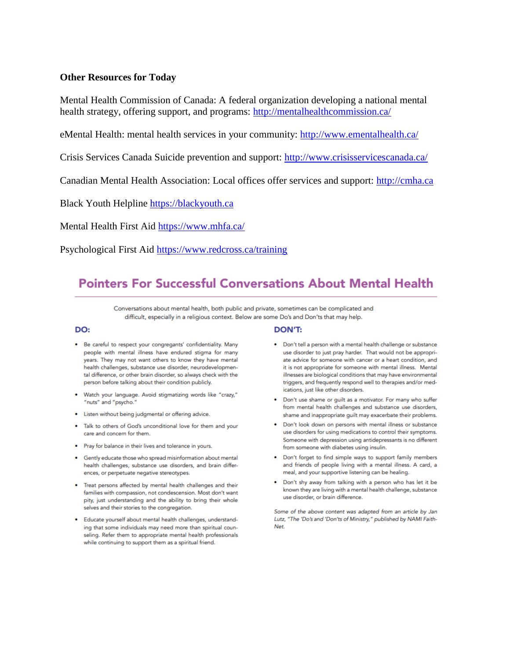## **Other Resources for Today**

Mental Health Commission of Canada: A federal organization developing a national mental health strategy, offering support, and programs:<http://mentalhealthcommission.ca/>

eMental Health: mental health services in your community:<http://www.ementalhealth.ca/>

Crisis Services Canada Suicide prevention and support:<http://www.crisisservicescanada.ca/>

Canadian Mental Health Association: Local offices offer services and support: [http://cmha.ca](http://cmha.ca/)

Black Youth Helpline [https://blackyouth.ca](https://blackyouth.ca/)

Mental Health First Aid<https://www.mhfa.ca/>

Psychological First Aid<https://www.redcross.ca/training>

# **Pointers For Successful Conversations About Mental Health**

Conversations about mental health, both public and private, sometimes can be complicated and difficult, especially in a religious context. Below are some Do's and Don'ts that may help.

#### DO:

- Be careful to respect your congregants' confidentiality. Many people with mental illness have endured stigma for many years. They may not want others to know they have mental health challenges, substance use disorder, neurodevelopmental difference, or other brain disorder, so always check with the person before talking about their condition publicly.
- · Watch your language. Avoid stigmatizing words like "crazy," "nuts" and "psycho."
- · Listen without being judgmental or offering advice.
- . Talk to others of God's unconditional love for them and your care and concern for them.
- Pray for balance in their lives and tolerance in yours.
- Gently educate those who spread misinformation about mental health challenges, substance use disorders, and brain differences, or perpetuate negative stereotypes.
- . Treat persons affected by mental health challenges and their families with compassion, not condescension. Most don't want pity, just understanding and the ability to bring their whole selves and their stories to the congregation.
- · Educate yourself about mental health challenges, understanding that some individuals may need more than spiritual counseling. Refer them to appropriate mental health professionals while continuing to support them as a spiritual friend.

#### **DON'T:**

- Don't tell a person with a mental health challenge or substance use disorder to just pray harder. That would not be appropriate advice for someone with cancer or a heart condition, and it is not appropriate for someone with mental illness. Mental illnesses are biological conditions that may have environmental triggers, and frequently respond well to therapies and/or medications, just like other disorders.
- . Don't use shame or guilt as a motivator. For many who suffer from mental health challenges and substance use disorders, shame and inappropriate guilt may exacerbate their problems.
- . Don't look down on persons with mental illness or substance use disorders for using medications to control their symptoms. Someone with depression using antidepressants is no different from someone with diabetes using insulin.
- . Don't forget to find simple ways to support family members and friends of people living with a mental illness. A card, a meal, and your supportive listening can be healing.
- . Don't shy away from talking with a person who has let it be known they are living with a mental health challenge, substance use disorder, or brain difference.

Some of the above content was adapted from an article by Jan Lutz, "The 'Do's and 'Don'ts of Ministry," published by NAMI Faith-Net.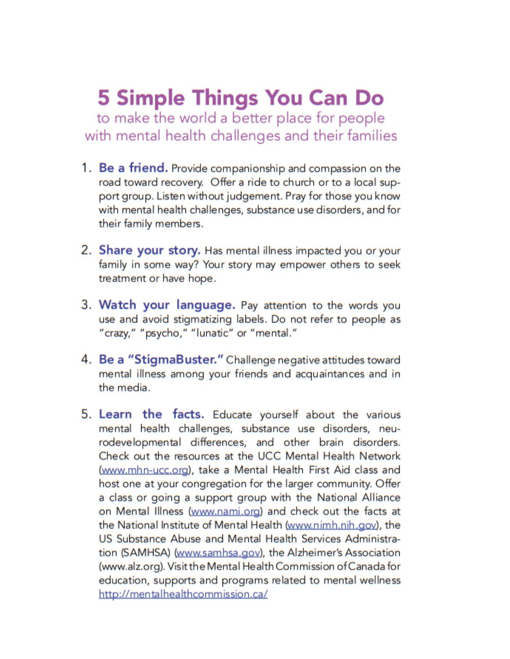# **5 Simple Things You Can Do**

to make the world a better place for people with mental health challenges and their families

- 1. Be a friend. Provide companionship and compassion on the road toward recovery. Offer a ride to church or to a local support group. Listen without judgement. Pray for those you know with mental health challenges, substance use disorders, and for their family members.
- 2. Share your story. Has mental illness impacted you or your family in some way? Your story may empower others to seek treatment or have hope.
- 3. Watch your language. Pay attention to the words you use and avoid stigmatizing labels. Do not refer to people as "crazy," "psycho," "lunatic" or "mental."
- 4. Be a "StigmaBuster." Challenge negative attitudes toward mental illness among your friends and acquaintances and in the media.
- 5. Learn the facts. Educate yourself about the various mental health challenges, substance use disorders, neurodevelopmental differences, and other brain disorders. Check out the resources at the UCC Mental Health Network (www.mhn-ucc.org), take a Mental Health First Aid class and host one at your congregation for the larger community. Offer a class or going a support group with the National Alliance on Mental Illness (www.nami.org) and check out the facts at the National Institute of Mental Health (www.nimh.nih.gov), the US Substance Abuse and Mental Health Services Administration (SAMHSA) (www.samhsa.gov), the Alzheimer's Association (www.alz.org). Visit the Mental Health Commission of Canada for education, supports and programs related to mental wellness http://mentalhealthcommission.ca/